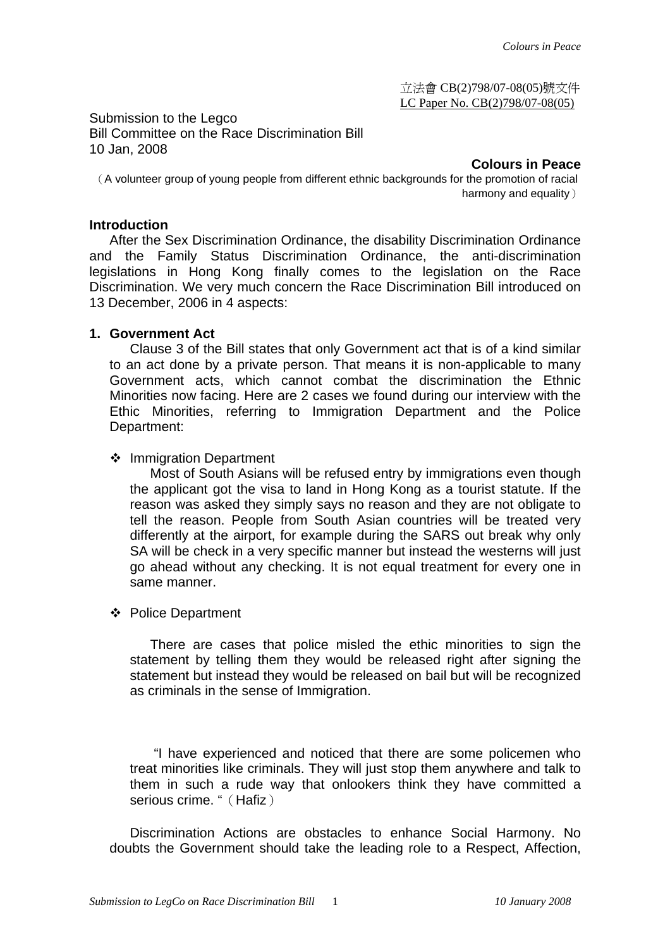立法會 CB(2)798/07-08(05)號文件 LC Paper No. CB(2)798/07-08(05)

Submission to the Legco Bill Committee on the Race Discrimination Bill 10 Jan, 2008

**Colours in Peace** 

(A volunteer group of young people from different ethnic backgrounds for the promotion of racial harmony and equality)

### **Introduction**

After the Sex Discrimination Ordinance, the disability Discrimination Ordinance and the Family Status Discrimination Ordinance, the anti-discrimination legislations in Hong Kong finally comes to the legislation on the Race Discrimination. We very much concern the Race Discrimination Bill introduced on 13 December, 2006 in 4 aspects:

### **1. Government Act**

Clause 3 of the Bill states that only Government act that is of a kind similar to an act done by a private person. That means it is non-applicable to many Government acts, which cannot combat the discrimination the Ethnic Minorities now facing. Here are 2 cases we found during our interview with the Ethic Minorities, referring to Immigration Department and the Police Department:

### ❖ Immigration Department

Most of South Asians will be refused entry by immigrations even though the applicant got the visa to land in Hong Kong as a tourist statute. If the reason was asked they simply says no reason and they are not obligate to tell the reason. People from South Asian countries will be treated very differently at the airport, for example during the SARS out break why only SA will be check in a very specific manner but instead the westerns will just go ahead without any checking. It is not equal treatment for every one in same manner.

### ❖ Police Department

There are cases that police misled the ethic minorities to sign the statement by telling them they would be released right after signing the statement but instead they would be released on bail but will be recognized as criminals in the sense of Immigration.

 "I have experienced and noticed that there are some policemen who treat minorities like criminals. They will just stop them anywhere and talk to them in such a rude way that onlookers think they have committed a serious crime. " (Hafiz)

Discrimination Actions are obstacles to enhance Social Harmony. No doubts the Government should take the leading role to a Respect, Affection,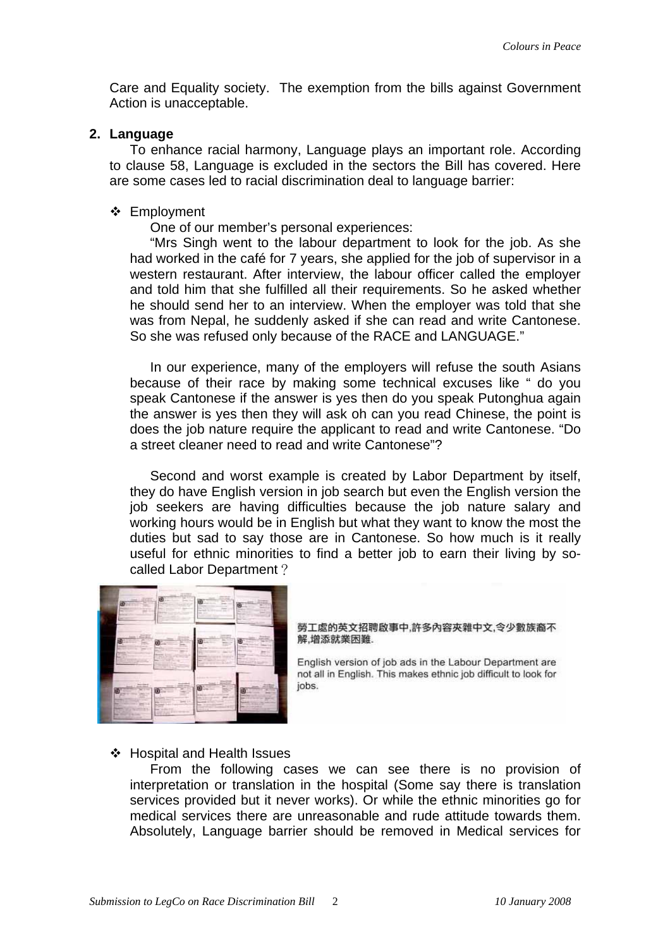Care and Equality society. The exemption from the bills against Government Action is unacceptable.

### **2. Language**

To enhance racial harmony, Language plays an important role. According to clause 58, Language is excluded in the sectors the Bill has covered. Here are some cases led to racial discrimination deal to language barrier:

### ❖ Employment

One of our member's personal experiences:

"Mrs Singh went to the labour department to look for the job. As she had worked in the café for 7 years, she applied for the job of supervisor in a western restaurant. After interview, the labour officer called the employer and told him that she fulfilled all their requirements. So he asked whether he should send her to an interview. When the employer was told that she was from Nepal, he suddenly asked if she can read and write Cantonese. So she was refused only because of the RACE and LANGUAGE."

In our experience, many of the employers will refuse the south Asians because of their race by making some technical excuses like " do you speak Cantonese if the answer is yes then do you speak Putonghua again the answer is yes then they will ask oh can you read Chinese, the point is does the job nature require the applicant to read and write Cantonese. "Do a street cleaner need to read and write Cantonese"?

Second and worst example is created by Labor Department by itself, they do have English version in job search but even the English version the job seekers are having difficulties because the job nature salary and working hours would be in English but what they want to know the most the duties but sad to say those are in Cantonese. So how much is it really useful for ethnic minorities to find a better job to earn their living by socalled Labor Department?



#### 勞工處的英文招聘啟事中,許多內容夾雜中文,令少數族裔不 解,增添就業困難.

English version of job ads in the Labour Department are not all in English. This makes ethnic job difficult to look for iobs.

## Hospital and Health Issues

From the following cases we can see there is no provision of interpretation or translation in the hospital (Some say there is translation services provided but it never works). Or while the ethnic minorities go for medical services there are unreasonable and rude attitude towards them. Absolutely, Language barrier should be removed in Medical services for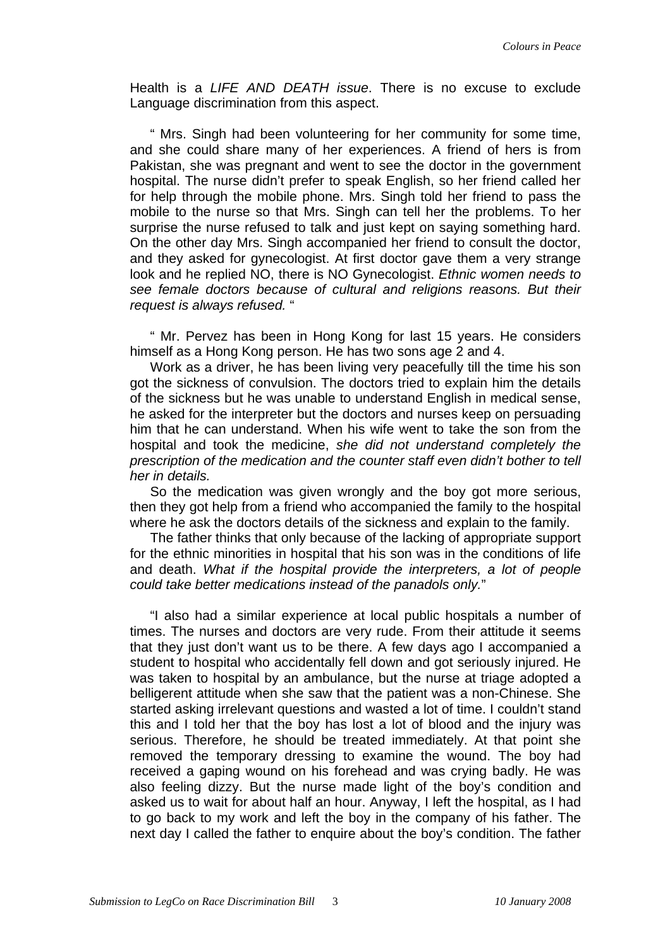Health is a *LIFE AND DEATH issue*. There is no excuse to exclude Language discrimination from this aspect.

" Mrs. Singh had been volunteering for her community for some time, and she could share many of her experiences. A friend of hers is from Pakistan, she was pregnant and went to see the doctor in the government hospital. The nurse didn't prefer to speak English, so her friend called her for help through the mobile phone. Mrs. Singh told her friend to pass the mobile to the nurse so that Mrs. Singh can tell her the problems. To her surprise the nurse refused to talk and just kept on saying something hard. On the other day Mrs. Singh accompanied her friend to consult the doctor, and they asked for gynecologist. At first doctor gave them a very strange look and he replied NO, there is NO Gynecologist. *Ethnic women needs to see female doctors because of cultural and religions reasons. But their request is always refused.* "

" Mr. Pervez has been in Hong Kong for last 15 years. He considers himself as a Hong Kong person. He has two sons age 2 and 4.

Work as a driver, he has been living very peacefully till the time his son got the sickness of convulsion. The doctors tried to explain him the details of the sickness but he was unable to understand English in medical sense, he asked for the interpreter but the doctors and nurses keep on persuading him that he can understand. When his wife went to take the son from the hospital and took the medicine, *she did not understand completely the prescription of the medication and the counter staff even didn't bother to tell her in details.*

So the medication was given wrongly and the boy got more serious, then they got help from a friend who accompanied the family to the hospital where he ask the doctors details of the sickness and explain to the family.

The father thinks that only because of the lacking of appropriate support for the ethnic minorities in hospital that his son was in the conditions of life and death. *What if the hospital provide the interpreters, a lot of people could take better medications instead of the panadols only.*"

"I also had a similar experience at local public hospitals a number of times. The nurses and doctors are very rude. From their attitude it seems that they just don't want us to be there. A few days ago I accompanied a student to hospital who accidentally fell down and got seriously injured. He was taken to hospital by an ambulance, but the nurse at triage adopted a belligerent attitude when she saw that the patient was a non-Chinese. She started asking irrelevant questions and wasted a lot of time. I couldn't stand this and I told her that the boy has lost a lot of blood and the injury was serious. Therefore, he should be treated immediately. At that point she removed the temporary dressing to examine the wound. The boy had received a gaping wound on his forehead and was crying badly. He was also feeling dizzy. But the nurse made light of the boy's condition and asked us to wait for about half an hour. Anyway, I left the hospital, as I had to go back to my work and left the boy in the company of his father. The next day I called the father to enquire about the boy's condition. The father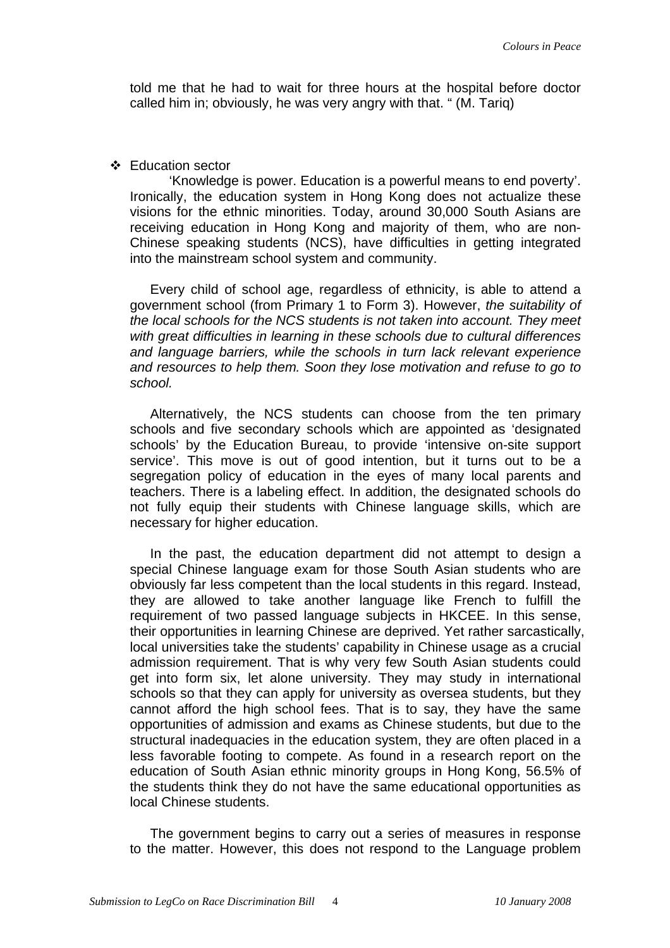told me that he had to wait for three hours at the hospital before doctor called him in; obviously, he was very angry with that. " (M. Tariq)

### Education sector

 'Knowledge is power. Education is a powerful means to end poverty'. Ironically, the education system in Hong Kong does not actualize these visions for the ethnic minorities. Today, around 30,000 South Asians are receiving education in Hong Kong and majority of them, who are non-Chinese speaking students (NCS), have difficulties in getting integrated into the mainstream school system and community.

Every child of school age, regardless of ethnicity, is able to attend a government school (from Primary 1 to Form 3). However, *the suitability of the local schools for the NCS students is not taken into account. They meet with great difficulties in learning in these schools due to cultural differences and language barriers, while the schools in turn lack relevant experience and resources to help them. Soon they lose motivation and refuse to go to school.*

Alternatively, the NCS students can choose from the ten primary schools and five secondary schools which are appointed as 'designated schools' by the Education Bureau, to provide 'intensive on-site support service'. This move is out of good intention, but it turns out to be a segregation policy of education in the eyes of many local parents and teachers. There is a labeling effect. In addition, the designated schools do not fully equip their students with Chinese language skills, which are necessary for higher education.

In the past, the education department did not attempt to design a special Chinese language exam for those South Asian students who are obviously far less competent than the local students in this regard. Instead, they are allowed to take another language like French to fulfill the requirement of two passed language subjects in HKCEE. In this sense, their opportunities in learning Chinese are deprived. Yet rather sarcastically, local universities take the students' capability in Chinese usage as a crucial admission requirement. That is why very few South Asian students could get into form six, let alone university. They may study in international schools so that they can apply for university as oversea students, but they cannot afford the high school fees. That is to say, they have the same opportunities of admission and exams as Chinese students, but due to the structural inadequacies in the education system, they are often placed in a less favorable footing to compete. As found in a research report on the education of South Asian ethnic minority groups in Hong Kong, 56.5% of the students think they do not have the same educational opportunities as local Chinese students.

The government begins to carry out a series of measures in response to the matter. However, this does not respond to the Language problem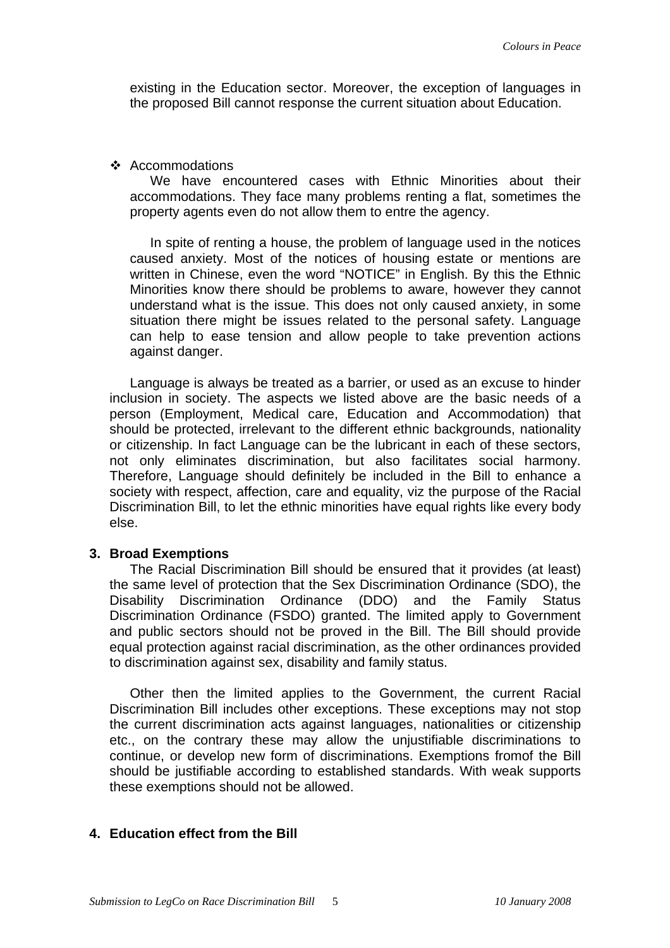existing in the Education sector. Moreover, the exception of languages in the proposed Bill cannot response the current situation about Education.

#### $\div$  Accommodations

We have encountered cases with Ethnic Minorities about their accommodations. They face many problems renting a flat, sometimes the property agents even do not allow them to entre the agency.

In spite of renting a house, the problem of language used in the notices caused anxiety. Most of the notices of housing estate or mentions are written in Chinese, even the word "NOTICE" in English. By this the Ethnic Minorities know there should be problems to aware, however they cannot understand what is the issue. This does not only caused anxiety, in some situation there might be issues related to the personal safety. Language can help to ease tension and allow people to take prevention actions against danger.

Language is always be treated as a barrier, or used as an excuse to hinder inclusion in society. The aspects we listed above are the basic needs of a person (Employment, Medical care, Education and Accommodation) that should be protected, irrelevant to the different ethnic backgrounds, nationality or citizenship. In fact Language can be the lubricant in each of these sectors, not only eliminates discrimination, but also facilitates social harmony. Therefore, Language should definitely be included in the Bill to enhance a society with respect, affection, care and equality, viz the purpose of the Racial Discrimination Bill, to let the ethnic minorities have equal rights like every body else.

### **3. Broad Exemptions**

The Racial Discrimination Bill should be ensured that it provides (at least) the same level of protection that the Sex Discrimination Ordinance (SDO), the Disability Discrimination Ordinance (DDO) and the Family Status Discrimination Ordinance (FSDO) granted. The limited apply to Government and public sectors should not be proved in the Bill. The Bill should provide equal protection against racial discrimination, as the other ordinances provided to discrimination against sex, disability and family status.

Other then the limited applies to the Government, the current Racial Discrimination Bill includes other exceptions. These exceptions may not stop the current discrimination acts against languages, nationalities or citizenship etc., on the contrary these may allow the unjustifiable discriminations to continue, or develop new form of discriminations. Exemptions fromof the Bill should be justifiable according to established standards. With weak supports these exemptions should not be allowed.

# **4. Education effect from the Bill**